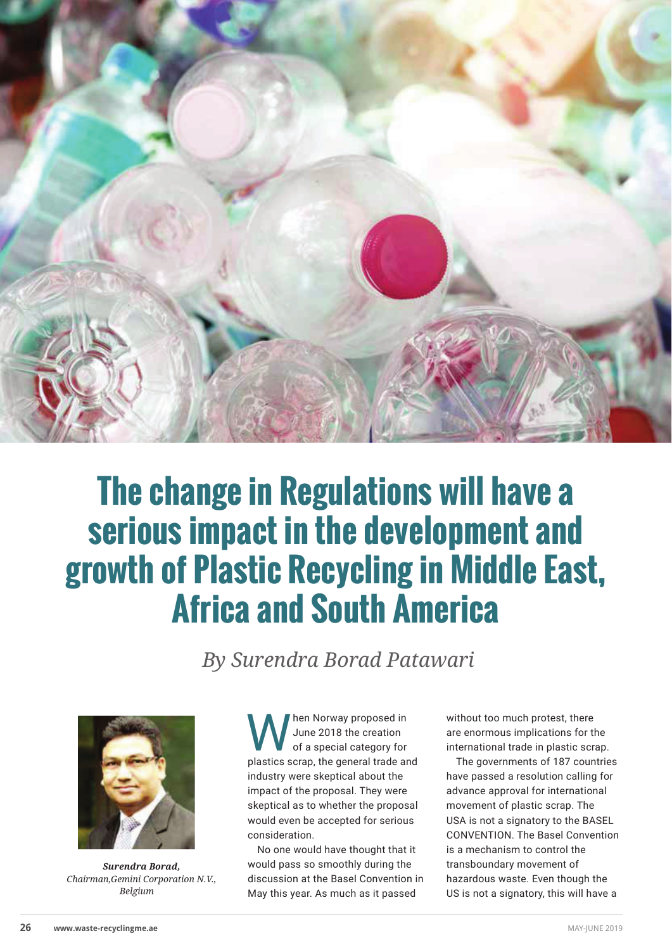

## **The change in Regulations will have a serious impact in the development and growth of Plastic Recycling in Middle East, Africa and South America**

 *By Surendra Borad Patawari*



*Surendra Borad, Chairman,Gemini Corporation N.V., Belgium*

When Norway proposed in<br>
of a special category for<br>
pleating expans the sense of trade and June 2018 the creation plastics scrap, the general trade and industry were skeptical about the impact of the proposal. They were skeptical as to whether the proposal would even be accepted for serious consideration.

No one would have thought that it would pass so smoothly during the discussion at the Basel Convention in May this year. As much as it passed

without too much protest, there are enormous implications for the international trade in plastic scrap.

The governments of 187 countries have passed a resolution calling for advance approval for international movement of plastic scrap. The USA is not a signatory to the BASEL CONVENTION. The Basel Convention is a mechanism to control the transboundary movement of hazardous waste. Even though the US is not a signatory, this will have a